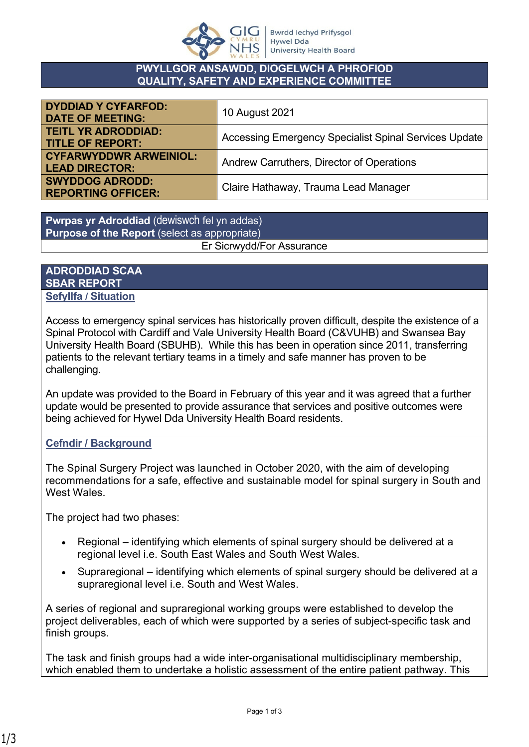

## **PWYLLGOR ANSAWDD, DIOGELWCH A PHROFIOD QUALITY, SAFETY AND EXPERIENCE COMMITTEE**

| <b>DYDDIAD Y CYFARFOD:</b><br><b>DATE OF MEETING:</b>  | 10 August 2021                                        |
|--------------------------------------------------------|-------------------------------------------------------|
| <b>TEITL YR ADRODDIAD:</b><br><b>TITLE OF REPORT:</b>  | Accessing Emergency Specialist Spinal Services Update |
| <b>CYFARWYDDWR ARWEINIOL:</b><br><b>LEAD DIRECTOR:</b> | Andrew Carruthers, Director of Operations             |
| <b>SWYDDOG ADRODD:</b><br><b>REPORTING OFFICER:</b>    | Claire Hathaway, Trauma Lead Manager                  |

**Pwrpas yr Adroddiad** (dewiswch fel yn addas) **Purpose of the Report** (select as appropriate)

Er Sicrwydd/For Assurance

### **ADRODDIAD SCAA SBAR REPORT Sefyllfa / Situation**

Access to emergency spinal services has historically proven difficult, despite the existence of a Spinal Protocol with Cardiff and Vale University Health Board (C&VUHB) and Swansea Bay University Health Board (SBUHB). While this has been in operation since 2011, transferring patients to the relevant tertiary teams in a timely and safe manner has proven to be challenging.

An update was provided to the Board in February of this year and it was agreed that a further update would be presented to provide assurance that services and positive outcomes were being achieved for Hywel Dda University Health Board residents.

# **Cefndir / Background**

The Spinal Surgery Project was launched in October 2020, with the aim of developing recommendations for a safe, effective and sustainable model for spinal surgery in South and West Wales

The project had two phases:

- Regional identifying which elements of spinal surgery should be delivered at a regional level i.e. South East Wales and South West Wales.
- Supraregional identifying which elements of spinal surgery should be delivered at a supraregional level i.e. South and West Wales.

A series of regional and supraregional working groups were established to develop the project deliverables, each of which were supported by a series of subject-specific task and finish groups.

The task and finish groups had a wide inter-organisational multidisciplinary membership, which enabled them to undertake a holistic assessment of the entire patient pathway. This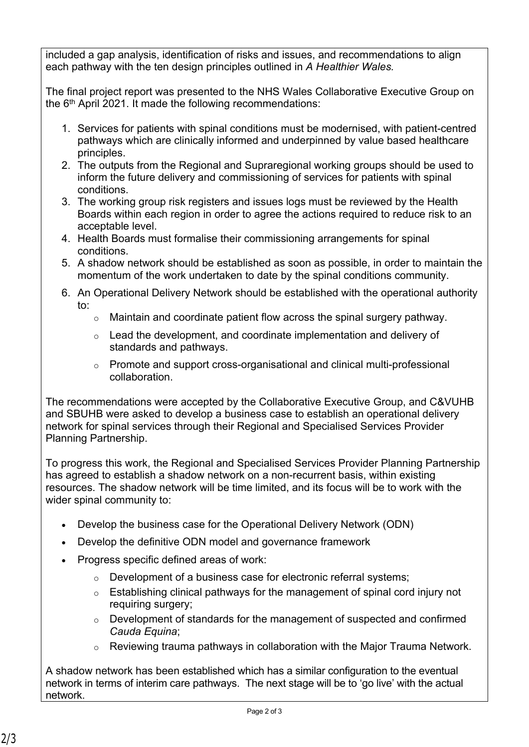included a gap analysis, identification of risks and issues, and recommendations to align each pathway with the ten design principles outlined in *A Healthier Wales.*

The final project report was presented to the NHS Wales Collaborative Executive Group on the 6th April 2021. It made the following recommendations:

- 1. Services for patients with spinal conditions must be modernised, with patient-centred pathways which are clinically informed and underpinned by value based healthcare principles.
- 2. The outputs from the Regional and Supraregional working groups should be used to inform the future delivery and commissioning of services for patients with spinal conditions.
- 3. The working group risk registers and issues logs must be reviewed by the Health Boards within each region in order to agree the actions required to reduce risk to an acceptable level.
- 4. Health Boards must formalise their commissioning arrangements for spinal conditions.
- 5. A shadow network should be established as soon as possible, in order to maintain the momentum of the work undertaken to date by the spinal conditions community.
- 6. An Operational Delivery Network should be established with the operational authority to:
	- o Maintain and coordinate patient flow across the spinal surgery pathway.
	- $\circ$  Lead the development, and coordinate implementation and delivery of standards and pathways.
	- o Promote and support cross-organisational and clinical multi-professional collaboration.

The recommendations were accepted by the Collaborative Executive Group, and C&VUHB and SBUHB were asked to develop a business case to establish an operational delivery network for spinal services through their Regional and Specialised Services Provider Planning Partnership.

To progress this work, the Regional and Specialised Services Provider Planning Partnership has agreed to establish a shadow network on a non-recurrent basis, within existing resources. The shadow network will be time limited, and its focus will be to work with the wider spinal community to:

- Develop the business case for the Operational Delivery Network (ODN)
- Develop the definitive ODN model and governance framework
- Progress specific defined areas of work:
	- o Development of a business case for electronic referral systems;
	- $\circ$  Establishing clinical pathways for the management of spinal cord injury not requiring surgery;
	- o Development of standards for the management of suspected and confirmed *Cauda Equina*;
	- o Reviewing trauma pathways in collaboration with the Major Trauma Network.

A shadow network has been established which has a similar configuration to the eventual network in terms of interim care pathways. The next stage will be to 'go live' with the actual network.